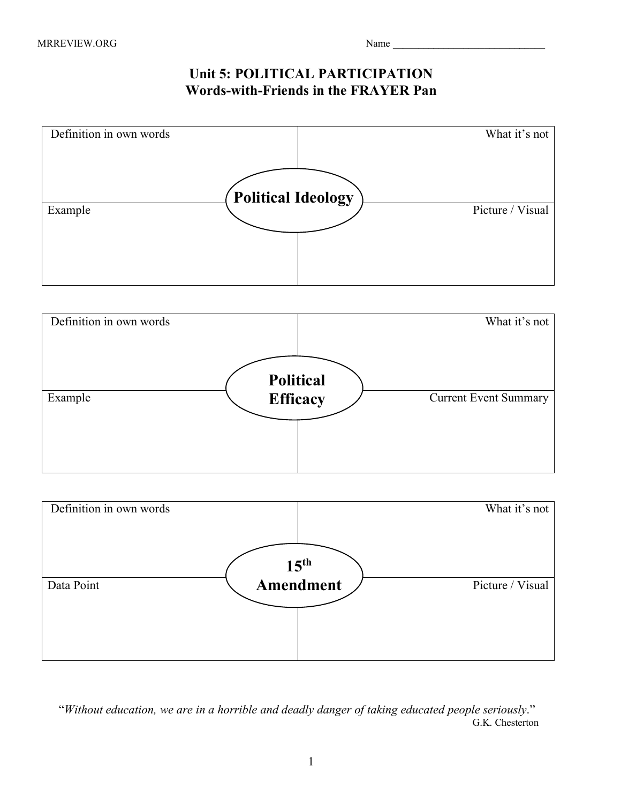## **Unit 5: POLITICAL PARTICIPATION Words-with-Friends in the FRAYER Pan**







 "*Without education, we are in a horrible and deadly danger of taking educated people seriously*." G.K. Chesterton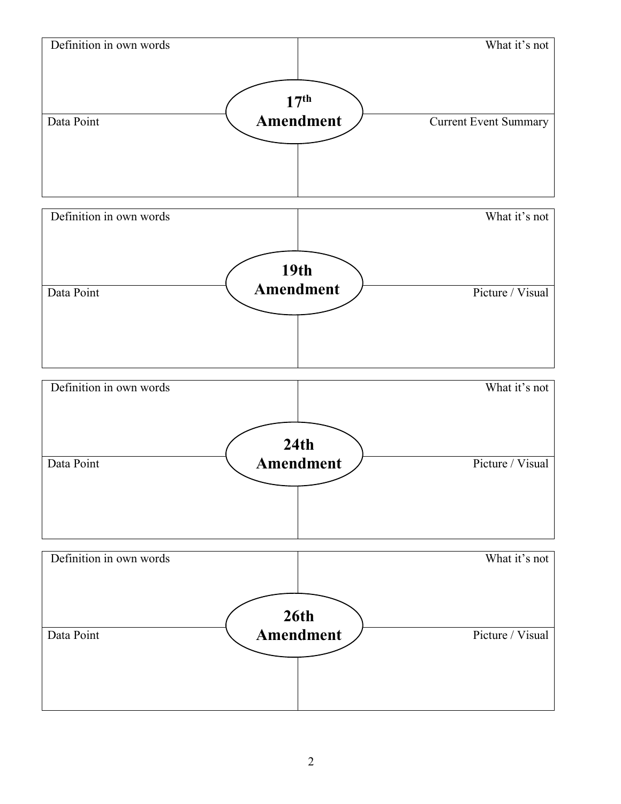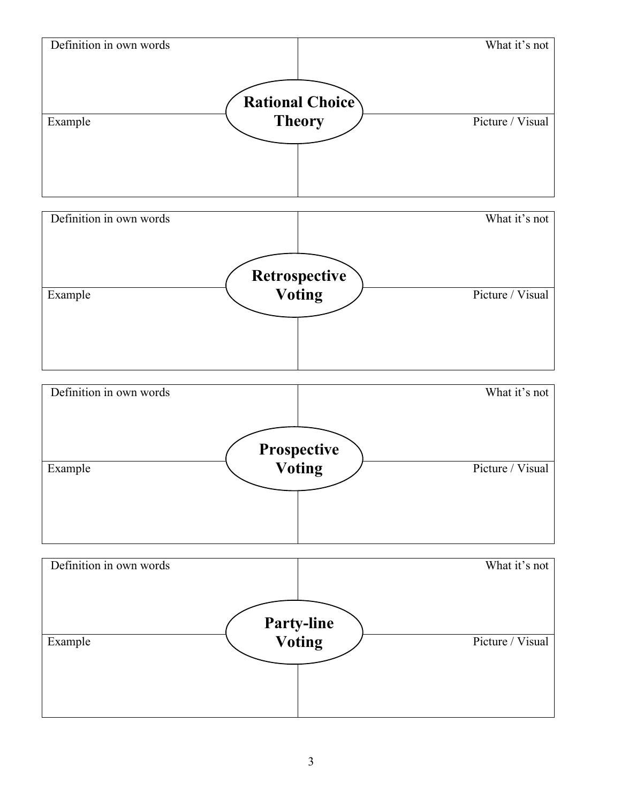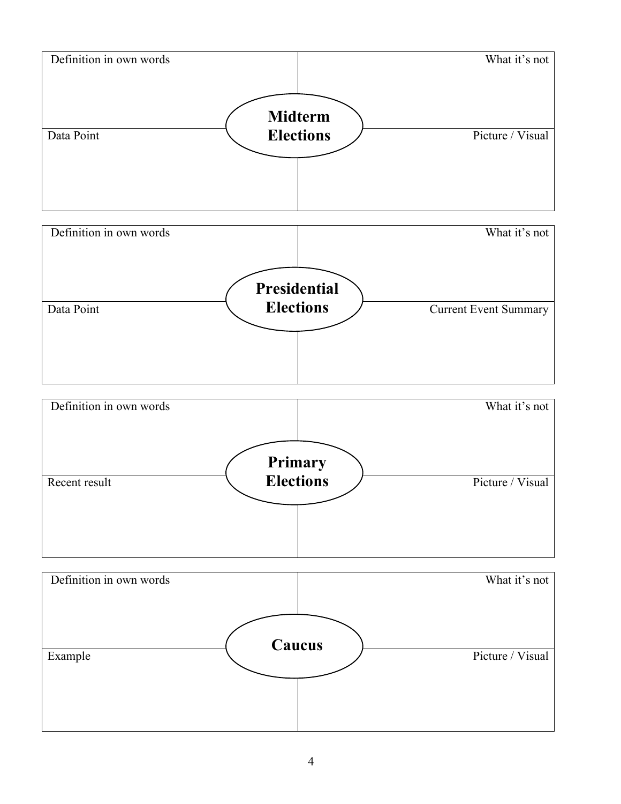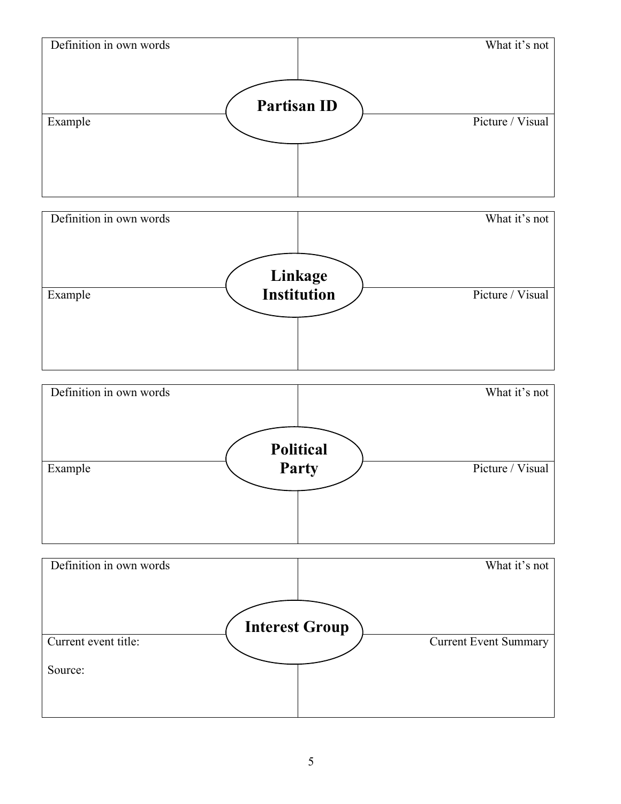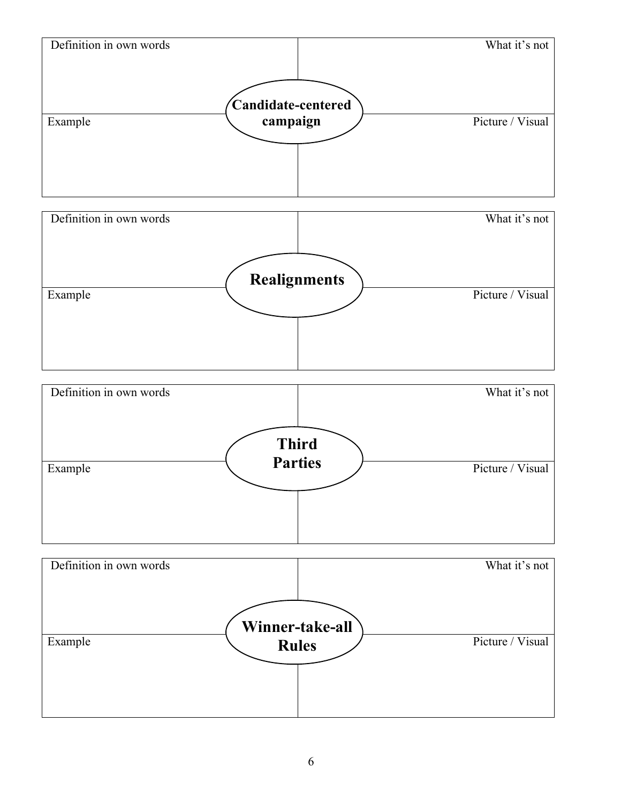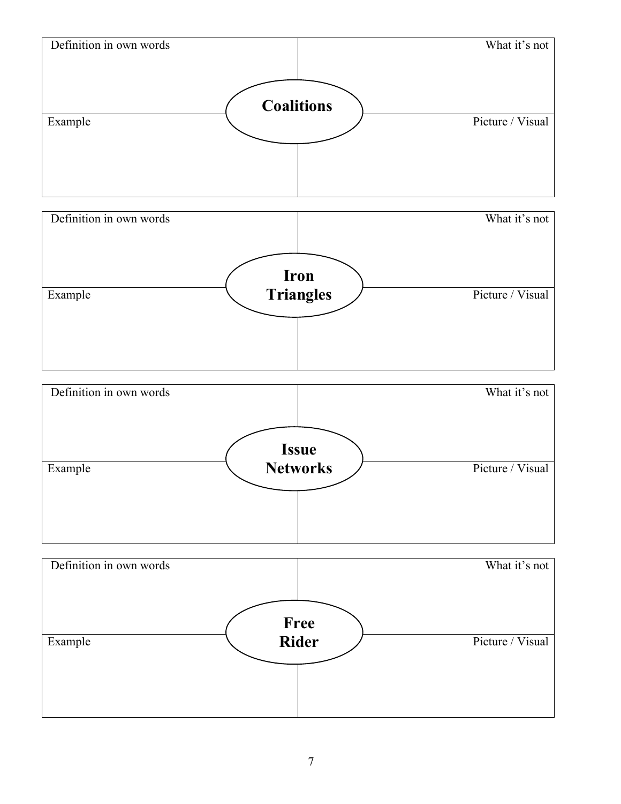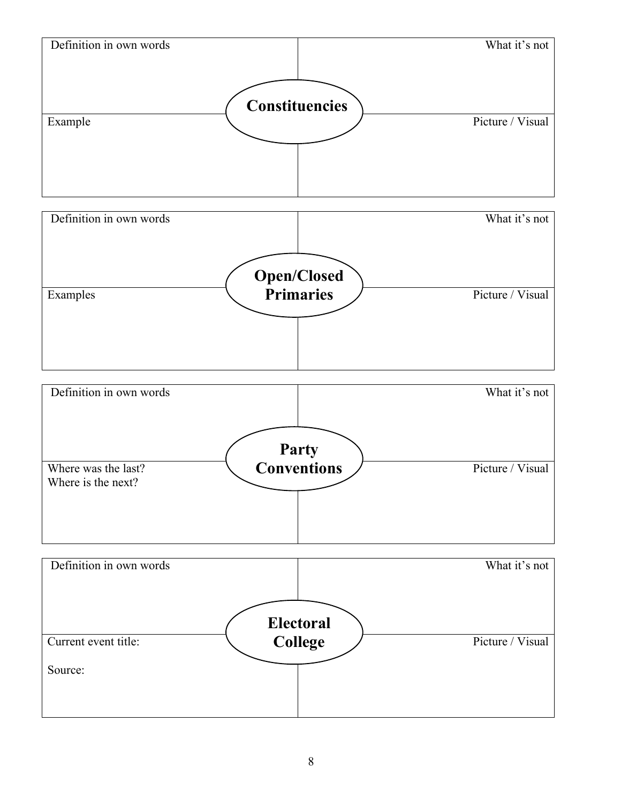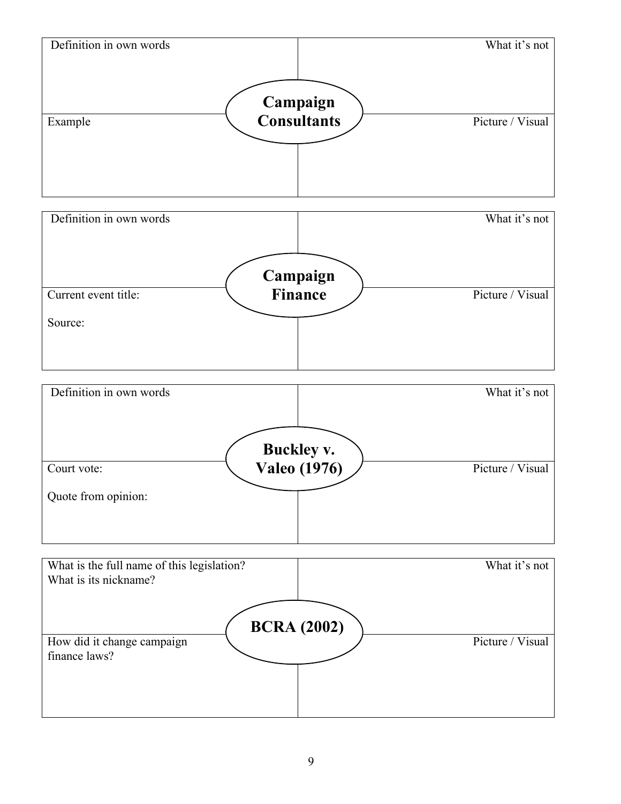